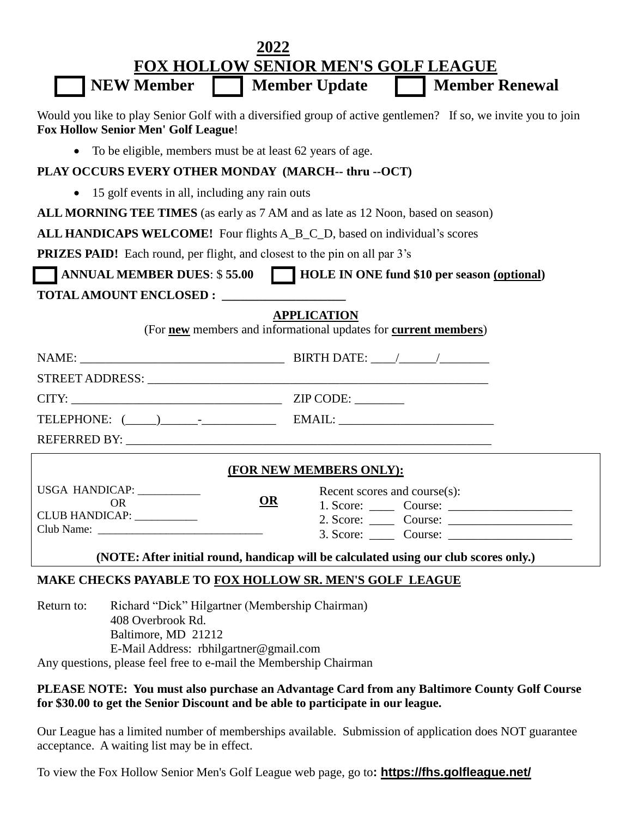| 2022                                                                                                                                                                                                                     |
|--------------------------------------------------------------------------------------------------------------------------------------------------------------------------------------------------------------------------|
| <b>FOX HOLLOW SENIOR MEN'S GOLF LEAGUE</b>                                                                                                                                                                               |
| <b>NEW Member   Member Update</b><br><b>Member Renewal</b>                                                                                                                                                               |
| Would you like to play Senior Golf with a diversified group of active gentlemen? If so, we invite you to join<br><b>Fox Hollow Senior Men' Golf League!</b>                                                              |
| To be eligible, members must be at least 62 years of age.<br>$\bullet$                                                                                                                                                   |
| PLAY OCCURS EVERY OTHER MONDAY (MARCH-- thru --OCT)                                                                                                                                                                      |
| 15 golf events in all, including any rain outs<br>$\bullet$                                                                                                                                                              |
| ALL MORNING TEE TIMES (as early as 7 AM and as late as 12 Noon, based on season)                                                                                                                                         |
| ALL HANDICAPS WELCOME! Four flights A_B_C_D, based on individual's scores                                                                                                                                                |
| <b>PRIZES PAID!</b> Each round, per flight, and closest to the pin on all par 3's                                                                                                                                        |
| ANNUAL MEMBER DUES: \$55.00 HOLE IN ONE fund \$10 per season (optional)                                                                                                                                                  |
|                                                                                                                                                                                                                          |
| <b>APPLICATION</b><br>(For new members and informational updates for current members)                                                                                                                                    |
|                                                                                                                                                                                                                          |
|                                                                                                                                                                                                                          |
|                                                                                                                                                                                                                          |
|                                                                                                                                                                                                                          |
|                                                                                                                                                                                                                          |
| (FOR NEW MEMBERS ONLY):                                                                                                                                                                                                  |
| USGA HANDICAP:<br>Recent scores and course(s):                                                                                                                                                                           |
| $\Omega$<br><b>OR</b><br>CLUB HANDICAP: ___________                                                                                                                                                                      |
|                                                                                                                                                                                                                          |
| (NOTE: After initial round, handicap will be calculated using our club scores only.)                                                                                                                                     |
| MAKE CHECKS PAYABLE TO FOX HOLLOW SR. MEN'S GOLF LEAGUE                                                                                                                                                                  |
| Richard "Dick" Hilgartner (Membership Chairman)<br>Return to:<br>408 Overbrook Rd.<br>Baltimore, MD 21212<br>E-Mail Address: rbhilgartner@gmail.com<br>Any questions, please feel free to e-mail the Membership Chairman |
| PLEASE NOTE: You must also purchase an Advantage Card from any Baltimore County Golf Course<br>for \$30.00 to get the Senior Discount and be able to participate in our league.                                          |

Our League has a limited number of memberships available. Submission of application does NOT guarantee acceptance. A waiting list may be in effect.

To view the Fox Hollow Senior Men's Golf League web page, go to**: https://fhs.golfleague.net/**